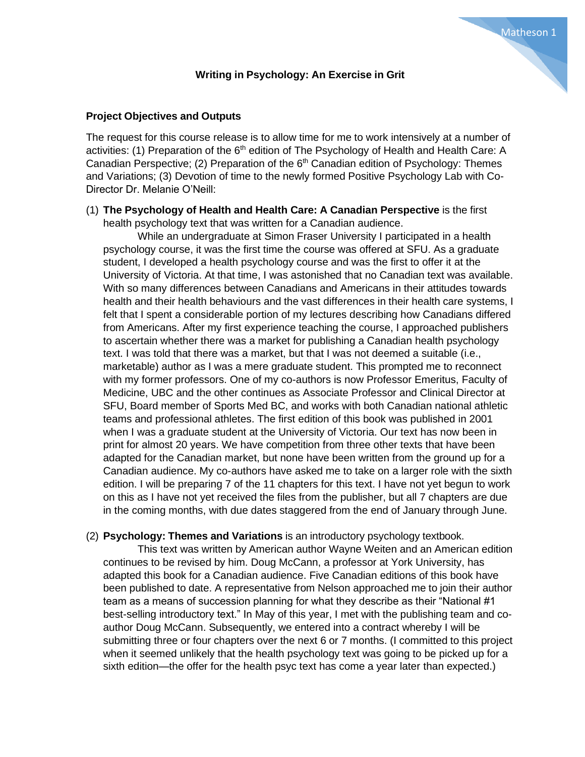# **Project Objectives and Outputs**

The request for this course release is to allow time for me to work intensively at a number of activities: (1) Preparation of the  $6<sup>th</sup>$  edition of The Psychology of Health and Health Care: A Canadian Perspective; (2) Preparation of the  $6<sup>th</sup>$  Canadian edition of Psychology: Themes and Variations; (3) Devotion of time to the newly formed Positive Psychology Lab with Co-Director Dr. Melanie O'Neill:

## (1) **The Psychology of Health and Health Care: A Canadian Perspective** is the first health psychology text that was written for a Canadian audience.

While an undergraduate at Simon Fraser University I participated in a health psychology course, it was the first time the course was offered at SFU. As a graduate student, I developed a health psychology course and was the first to offer it at the University of Victoria. At that time, I was astonished that no Canadian text was available. With so many differences between Canadians and Americans in their attitudes towards health and their health behaviours and the vast differences in their health care systems, I felt that I spent a considerable portion of my lectures describing how Canadians differed from Americans. After my first experience teaching the course, I approached publishers to ascertain whether there was a market for publishing a Canadian health psychology text. I was told that there was a market, but that I was not deemed a suitable (i.e., marketable) author as I was a mere graduate student. This prompted me to reconnect with my former professors. One of my co-authors is now Professor Emeritus, Faculty of Medicine, UBC and the other continues as Associate Professor and Clinical Director at SFU, Board member of Sports Med BC, and works with both Canadian national athletic teams and professional athletes. The first edition of this book was published in 2001 when I was a graduate student at the University of Victoria. Our text has now been in print for almost 20 years. We have competition from three other texts that have been adapted for the Canadian market, but none have been written from the ground up for a Canadian audience. My co-authors have asked me to take on a larger role with the sixth edition. I will be preparing 7 of the 11 chapters for this text. I have not yet begun to work on this as I have not yet received the files from the publisher, but all 7 chapters are due in the coming months, with due dates staggered from the end of January through June.

## (2) **Psychology: Themes and Variations** is an introductory psychology textbook.

This text was written by American author Wayne Weiten and an American edition continues to be revised by him. Doug McCann, a professor at York University, has adapted this book for a Canadian audience. Five Canadian editions of this book have been published to date. A representative from Nelson approached me to join their author team as a means of succession planning for what they describe as their "National #1 best-selling introductory text." In May of this year, I met with the publishing team and coauthor Doug McCann. Subsequently, we entered into a contract whereby I will be submitting three or four chapters over the next 6 or 7 months. (I committed to this project when it seemed unlikely that the health psychology text was going to be picked up for a sixth edition—the offer for the health psyc text has come a year later than expected.)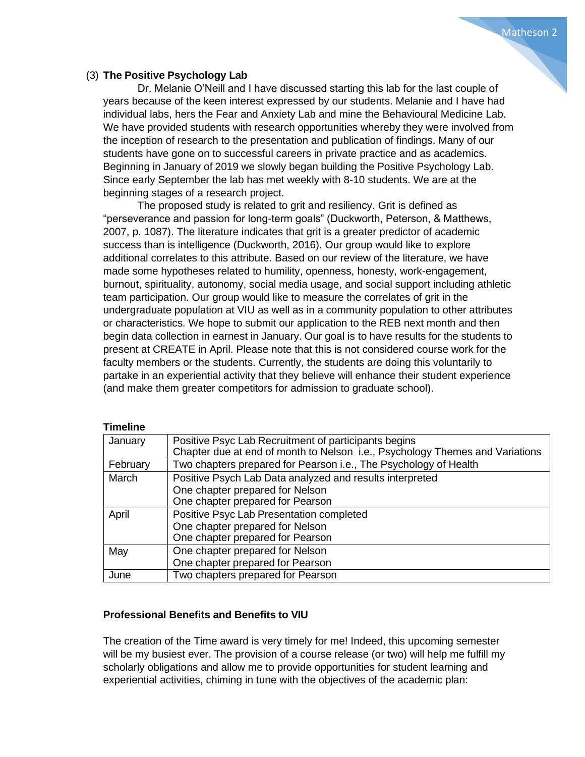# (3) **The Positive Psychology Lab**

Dr. Melanie O'Neill and I have discussed starting this lab for the last couple of years because of the keen interest expressed by our students. Melanie and I have had individual labs, hers the Fear and Anxiety Lab and mine the Behavioural Medicine Lab. We have provided students with research opportunities whereby they were involved from the inception of research to the presentation and publication of findings. Many of our students have gone on to successful careers in private practice and as academics. Beginning in January of 2019 we slowly began building the Positive Psychology Lab. Since early September the lab has met weekly with 8-10 students. We are at the beginning stages of a research project.

The proposed study is related to grit and resiliency. Grit is defined as "perseverance and passion for long-term goals" (Duckworth, Peterson, & Matthews, 2007, p. 1087). The literature indicates that grit is a greater predictor of academic success than is intelligence (Duckworth, 2016). Our group would like to explore additional correlates to this attribute. Based on our review of the literature, we have made some hypotheses related to humility, openness, honesty, work-engagement, burnout, spirituality, autonomy, social media usage, and social support including athletic team participation. Our group would like to measure the correlates of grit in the undergraduate population at VIU as well as in a community population to other attributes or characteristics. We hope to submit our application to the REB next month and then begin data collection in earnest in January. Our goal is to have results for the students to present at CREATE in April. Please note that this is not considered course work for the faculty members or the students. Currently, the students are doing this voluntarily to partake in an experiential activity that they believe will enhance their student experience (and make them greater competitors for admission to graduate school).

| .        |                                                                                                                                      |
|----------|--------------------------------------------------------------------------------------------------------------------------------------|
| January  | Positive Psyc Lab Recruitment of participants begins<br>Chapter due at end of month to Nelson i.e., Psychology Themes and Variations |
| February | Two chapters prepared for Pearson i.e., The Psychology of Health                                                                     |
| March    | Positive Psych Lab Data analyzed and results interpreted<br>One chapter prepared for Nelson<br>One chapter prepared for Pearson      |
| April    | Positive Psyc Lab Presentation completed<br>One chapter prepared for Nelson<br>One chapter prepared for Pearson                      |
| May      | One chapter prepared for Nelson<br>One chapter prepared for Pearson                                                                  |
| June     | Two chapters prepared for Pearson                                                                                                    |

# **Timeline**

# **Professional Benefits and Benefits to VIU**

The creation of the Time award is very timely for me! Indeed, this upcoming semester will be my busiest ever. The provision of a course release (or two) will help me fulfill my scholarly obligations and allow me to provide opportunities for student learning and experiential activities, chiming in tune with the objectives of the academic plan: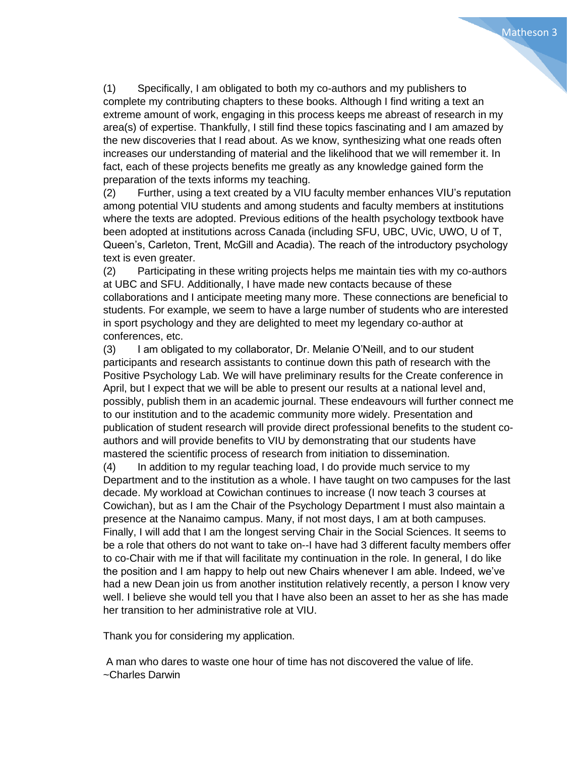(1) Specifically, I am obligated to both my co-authors and my publishers to complete my contributing chapters to these books. Although I find writing a text an extreme amount of work, engaging in this process keeps me abreast of research in my area(s) of expertise. Thankfully, I still find these topics fascinating and I am amazed by the new discoveries that I read about. As we know, synthesizing what one reads often increases our understanding of material and the likelihood that we will remember it. In fact, each of these projects benefits me greatly as any knowledge gained form the preparation of the texts informs my teaching.

Matheson 3

(2) Further, using a text created by a VIU faculty member enhances VIU's reputation among potential VIU students and among students and faculty members at institutions where the texts are adopted. Previous editions of the health psychology textbook have been adopted at institutions across Canada (including SFU, UBC, UVic, UWO, U of T, Queen's, Carleton, Trent, McGill and Acadia). The reach of the introductory psychology text is even greater.

(2) Participating in these writing projects helps me maintain ties with my co-authors at UBC and SFU. Additionally, I have made new contacts because of these collaborations and I anticipate meeting many more. These connections are beneficial to students. For example, we seem to have a large number of students who are interested in sport psychology and they are delighted to meet my legendary co-author at conferences, etc.

(3) I am obligated to my collaborator, Dr. Melanie O'Neill, and to our student participants and research assistants to continue down this path of research with the Positive Psychology Lab. We will have preliminary results for the Create conference in April, but I expect that we will be able to present our results at a national level and, possibly, publish them in an academic journal. These endeavours will further connect me to our institution and to the academic community more widely. Presentation and publication of student research will provide direct professional benefits to the student coauthors and will provide benefits to VIU by demonstrating that our students have mastered the scientific process of research from initiation to dissemination.

(4) In addition to my regular teaching load, I do provide much service to my Department and to the institution as a whole. I have taught on two campuses for the last decade. My workload at Cowichan continues to increase (I now teach 3 courses at Cowichan), but as I am the Chair of the Psychology Department I must also maintain a presence at the Nanaimo campus. Many, if not most days, I am at both campuses. Finally, I will add that I am the longest serving Chair in the Social Sciences. It seems to be a role that others do not want to take on--I have had 3 different faculty members offer to co-Chair with me if that will facilitate my continuation in the role. In general, I do like the position and I am happy to help out new Chairs whenever I am able. Indeed, we've had a new Dean join us from another institution relatively recently, a person I know very well. I believe she would tell you that I have also been an asset to her as she has made her transition to her administrative role at VIU.

Thank you for considering my application.

A man who dares to waste one hour of time has not discovered the value of life. ~Charles Darwin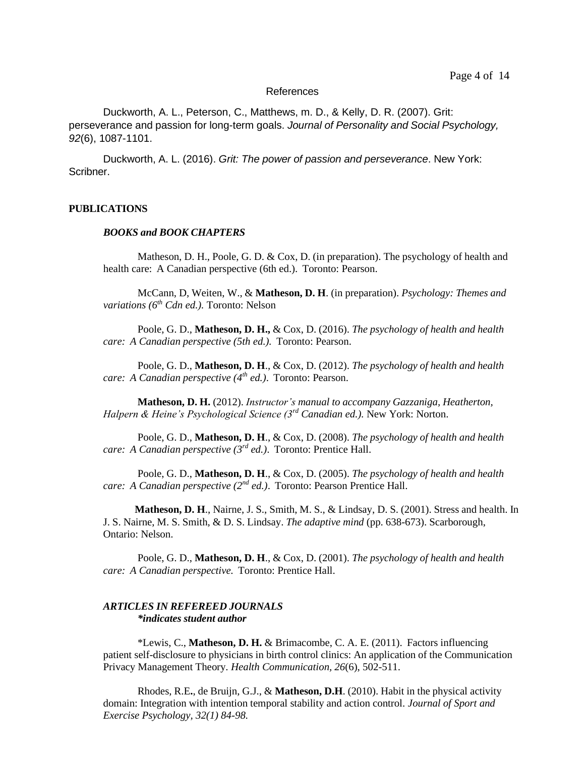#### References

Duckworth, A. L., Peterson, C., Matthews, m. D., & Kelly, D. R. (2007). Grit: perseverance and passion for long-term goals. *Journal of Personality and Social Psychology, 92*(6), 1087-1101.

Duckworth, A. L. (2016). *Grit: The power of passion and perseverance*. New York: Scribner.

#### **PUBLICATIONS**

#### *BOOKS and BOOK CHAPTERS*

Matheson, D. H., Poole, G. D. & Cox, D. (in preparation). The psychology of health and health care: A Canadian perspective (6th ed.). Toronto: Pearson.

McCann, D, Weiten, W., & **Matheson, D. H**. (in preparation). *Psychology: Themes and variations (6th Cdn ed.).* Toronto: Nelson

Poole, G. D., **Matheson, D. H.,** & Cox, D. (2016). *The psychology of health and health care: A Canadian perspective (5th ed.).* Toronto: Pearson.

Poole, G. D., **Matheson, D. H**., & Cox, D. (2012). *The psychology of health and health care: A Canadian perspective (4th ed.)*. Toronto: Pearson.

**Matheson, D. H.** (2012). *Instructor's manual to accompany Gazzaniga, Heatherton, Halpern & Heine's Psychological Science (3rd Canadian ed.).* New York: Norton.

Poole, G. D., **Matheson, D. H**., & Cox, D. (2008). *The psychology of health and health care: A Canadian perspective (3rd ed.)*. Toronto: Prentice Hall.

Poole, G. D., **Matheson, D. H**., & Cox, D. (2005). *The psychology of health and health care: A Canadian perspective (2nd ed.)*. Toronto: Pearson Prentice Hall.

**Matheson, D. H**., Nairne, J. S., Smith, M. S., & Lindsay, D. S. (2001). Stress and health. In J. S. Nairne, M. S. Smith, & D. S. Lindsay. *The adaptive mind* (pp. 638-673). Scarborough, Ontario: Nelson.

Poole, G. D., **Matheson, D. H**., & Cox, D. (2001). *The psychology of health and health care: A Canadian perspective.* Toronto: Prentice Hall.

### *ARTICLES IN REFEREED JOURNALS \*indicates student author*

\*Lewis, C., **Matheson, D. H.** & Brimacombe, C. A. E. (2011). Factors influencing patient self-disclosure to physicians in birth control clinics: An application of the Communication Privacy Management Theory. *Health Communication, 26*(6), 502-511.

Rhodes, R.E**.**, de Bruijn, G.J., & **Matheson, D.H**. (2010). Habit in the physical activity domain: Integration with intention temporal stability and action control. *Journal of Sport and Exercise Psychology, 32(1) 84-98.*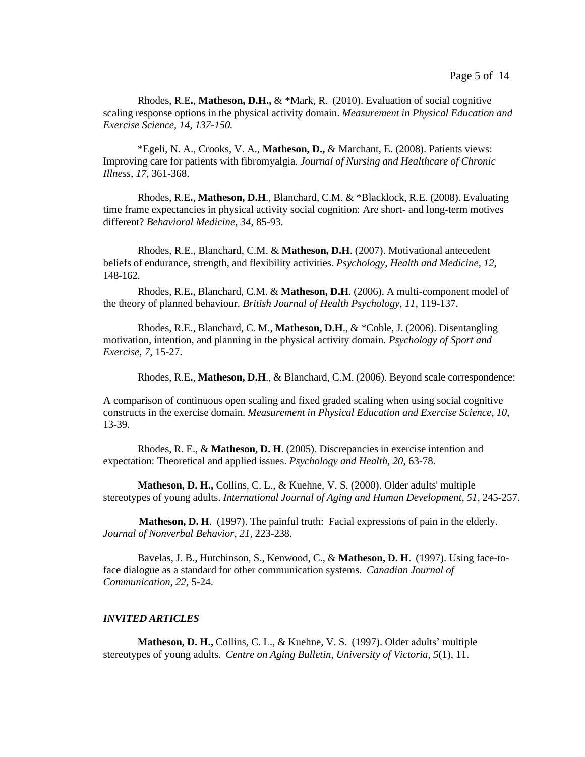Rhodes, R.E**.**, **Matheson, D.H.,** & \*Mark, R. (2010). Evaluation of social cognitive scaling response options in the physical activity domain. *Measurement in Physical Education and Exercise Science, 14, 137-150.*

\*Egeli, N. A., Crooks, V. A., **Matheson, D.,** & Marchant, E. (2008). Patients views: Improving care for patients with fibromyalgia. *Journal of Nursing and Healthcare of Chronic Illness, 17,* 361-368.

Rhodes, R.E**.**, **Matheson, D.H**., Blanchard, C.M. & \*Blacklock, R.E. (2008). Evaluating time frame expectancies in physical activity social cognition: Are short- and long-term motives different? *Behavioral Medicine, 34*, 85-93.

Rhodes, R.E., Blanchard, C.M. & **Matheson, D.H**. (2007). Motivational antecedent beliefs of endurance, strength, and flexibility activities. *Psychology, Health and Medicine, 12,*  148-162.

Rhodes, R.E**.**, Blanchard, C.M. & **Matheson, D.H**. (2006). A multi-component model of the theory of planned behaviour. *British Journal of Health Psychology, 11,* 119-137.

Rhodes, R.E., Blanchard, C. M., **Matheson, D.H**., & \*Coble, J. (2006). Disentangling motivation, intention, and planning in the physical activity domain. *Psychology of Sport and Exercise, 7*, 15-27.

Rhodes, R.E**.**, **Matheson, D.H**., & Blanchard, C.M. (2006). Beyond scale correspondence:

A comparison of continuous open scaling and fixed graded scaling when using social cognitive constructs in the exercise domain. *Measurement in Physical Education and Exercise Science*, *10*, 13-39.

Rhodes, R. E., & **Matheson, D. H**. (2005). Discrepancies in exercise intention and expectation: Theoretical and applied issues. *Psychology and Health, 20*, 63-78.

**Matheson, D. H.,** Collins, C. L., & Kuehne, V. S. (2000). Older adults' multiple stereotypes of young adults. *International Journal of Aging and Human Development, 51,* 245-257.

**Matheson, D. H**. (1997). The painful truth: Facial expressions of pain in the elderly. *Journal of Nonverbal Behavior, 21,* 223-238.

Bavelas, J. B., Hutchinson, S., Kenwood, C., & **Matheson, D. H**. (1997). Using face-toface dialogue as a standard for other communication systems. *Canadian Journal of Communication, 22,* 5-24.

#### *INVITED ARTICLES*

**Matheson, D. H.,** Collins, C. L., & Kuehne, V. S. (1997). Older adults' multiple stereotypes of young adults*. Centre on Aging Bulletin, University of Victoria, 5*(1), 11.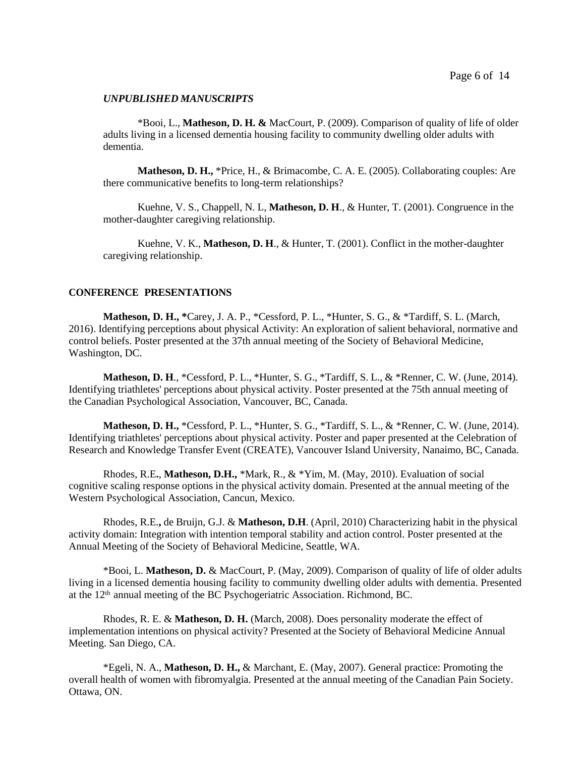#### *UNPUBLISHED MANUSCRIPTS*

\*Booi, L., **Matheson, D. H. &** MacCourt, P. (2009). Comparison of quality of life of older adults living in a licensed dementia housing facility to community dwelling older adults with dementia.

**Matheson, D. H.,** \*Price, H., & Brimacombe, C. A. E. (2005). Collaborating couples: Are there communicative benefits to long-term relationships?

Kuehne, V. S., Chappell, N. L, **Matheson, D. H**., & Hunter, T. (2001). Congruence in the mother-daughter caregiving relationship.

Kuehne, V. K., **Matheson, D. H**., & Hunter, T. (2001). Conflict in the mother-daughter caregiving relationship.

#### **CONFERENCE PRESENTATIONS**

**Matheson, D. H., \***Carey, J. A. P., \*Cessford, P. L., \*Hunter, S. G., & \*Tardiff, S. L. (March, 2016). Identifying perceptions about physical Activity: An exploration of salient behavioral, normative and control beliefs. Poster presented at the 37th annual meeting of the Society of Behavioral Medicine, Washington, DC.

**Matheson, D. H**., \*Cessford, P. L., \*Hunter, S. G., \*Tardiff, S. L., & \*Renner, C. W. (June, 2014). Identifying triathletes' perceptions about physical activity. Poster presented at the 75th annual meeting of the Canadian Psychological Association, Vancouver, BC, Canada.

**Matheson, D. H.,** \*Cessford, P. L., \*Hunter, S. G., \*Tardiff, S. L., & \*Renner, C. W. (June, 2014). Identifying triathletes' perceptions about physical activity. Poster and paper presented at the Celebration of Research and Knowledge Transfer Event (CREATE), Vancouver Island University, Nanaimo, BC, Canada.

Rhodes, R.E**.**, **Matheson, D.H.,** \*Mark, R., & \*Yim, M. (May, 2010). Evaluation of social cognitive scaling response options in the physical activity domain. Presented at the annual meeting of the Western Psychological Association, Cancun, Mexico.

Rhodes, R.E.**,** de Bruijn, G.J. & **Matheson, D.H**. (April, 2010) Characterizing habit in the physical activity domain: Integration with intention temporal stability and action control. Poster presented at the Annual Meeting of the Society of Behavioral Medicine, Seattle, WA.

\*Booi, L. **Matheson, D.** & MacCourt, P. (May, 2009). Comparison of quality of life of older adults living in a licensed dementia housing facility to community dwelling older adults with dementia. Presented at the  $12<sup>th</sup>$  annual meeting of the BC Psychogeriatric Association. Richmond, BC.

Rhodes, R. E. & **Matheson, D. H.** (March, 2008). Does personality moderate the effect of implementation intentions on physical activity? Presented at the Society of Behavioral Medicine Annual Meeting. San Diego, CA.

\*Egeli, N. A., **Matheson, D. H.,** & Marchant, E. (May, 2007). General practice: Promoting the overall health of women with fibromyalgia. Presented at the annual meeting of the Canadian Pain Society. Ottawa, ON.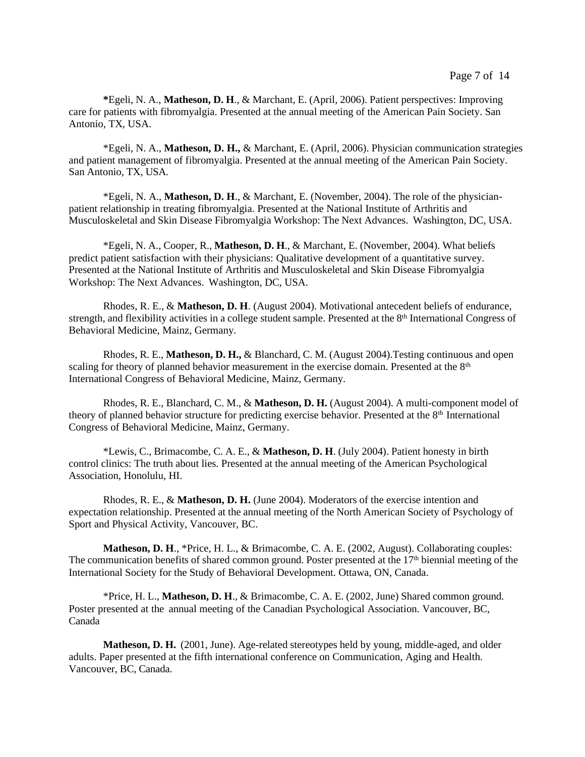**\***Egeli, N. A., **Matheson, D. H**., & Marchant, E. (April, 2006). Patient perspectives: Improving care for patients with fibromyalgia. Presented at the annual meeting of the American Pain Society. San Antonio, TX, USA.

\*Egeli, N. A., **Matheson, D. H.,** & Marchant, E. (April, 2006). Physician communication strategies and patient management of fibromyalgia. Presented at the annual meeting of the American Pain Society. San Antonio, TX, USA.

\*Egeli, N. A., **Matheson, D. H**., & Marchant, E. (November, 2004). The role of the physicianpatient relationship in treating fibromyalgia. Presented at the National Institute of Arthritis and Musculoskeletal and Skin Disease Fibromyalgia Workshop: The Next Advances. Washington, DC, USA.

\*Egeli, N. A., Cooper, R., **Matheson, D. H**., & Marchant, E. (November, 2004). What beliefs predict patient satisfaction with their physicians: Qualitative development of a quantitative survey. Presented at the National Institute of Arthritis and Musculoskeletal and Skin Disease Fibromyalgia Workshop: The Next Advances. Washington, DC, USA.

Rhodes, R. E., & **Matheson, D. H**. (August 2004). Motivational antecedent beliefs of endurance, strength, and flexibility activities in a college student sample. Presented at the 8<sup>th</sup> International Congress of Behavioral Medicine, Mainz, Germany.

Rhodes, R. E., **Matheson, D. H.,** & Blanchard, C. M. (August 2004).Testing continuous and open scaling for theory of planned behavior measurement in the exercise domain. Presented at the 8<sup>th</sup> International Congress of Behavioral Medicine, Mainz, Germany.

Rhodes, R. E., Blanchard, C. M., & **Matheson, D. H.** (August 2004). A multi-component model of theory of planned behavior structure for predicting exercise behavior. Presented at the 8<sup>th</sup> International Congress of Behavioral Medicine, Mainz, Germany.

\*Lewis, C., Brimacombe, C. A. E., & **Matheson, D. H**. (July 2004). Patient honesty in birth control clinics: The truth about lies. Presented at the annual meeting of the American Psychological Association, Honolulu, HI.

Rhodes, R. E., & **Matheson, D. H.** (June 2004). Moderators of the exercise intention and expectation relationship. Presented at the annual meeting of the North American Society of Psychology of Sport and Physical Activity, Vancouver, BC.

**Matheson, D. H., \*Price, H. L., & Brimacombe, C. A. E. (2002, August). Collaborating couples:** The communication benefits of shared common ground. Poster presented at the  $17<sup>th</sup>$  biennial meeting of the International Society for the Study of Behavioral Development. Ottawa, ON, Canada.

\*Price, H. L., **Matheson, D. H**., & Brimacombe, C. A. E. (2002, June) Shared common ground. Poster presented at the annual meeting of the Canadian Psychological Association. Vancouver, BC, Canada

**Matheson, D. H.** (2001, June). Age-related stereotypes held by young, middle-aged, and older adults. Paper presented at the fifth international conference on Communication, Aging and Health. Vancouver, BC, Canada.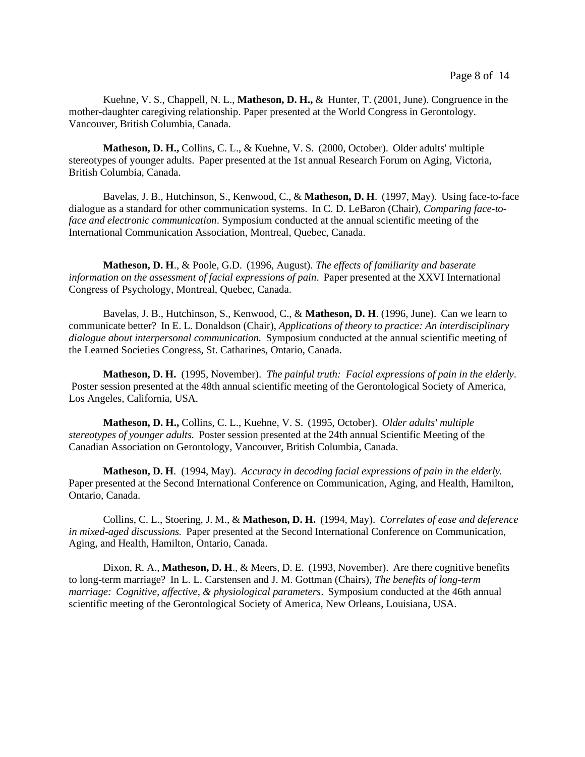Kuehne, V. S., Chappell, N. L., **Matheson, D. H.,** & Hunter, T. (2001, June). Congruence in the mother-daughter caregiving relationship. Paper presented at the World Congress in Gerontology. Vancouver, British Columbia, Canada.

**Matheson, D. H.,** Collins, C. L., & Kuehne, V. S. (2000, October). Older adults' multiple stereotypes of younger adults. Paper presented at the 1st annual Research Forum on Aging, Victoria, British Columbia, Canada.

Bavelas, J. B., Hutchinson, S., Kenwood, C., & **Matheson, D. H**. (1997, May). Using face-to-face dialogue as a standard for other communication systems. In C. D. LeBaron (Chair), *Comparing face-toface and electronic communication*. Symposium conducted at the annual scientific meeting of the International Communication Association, Montreal, Quebec, Canada.

**Matheson, D. H**., & Poole, G.D. (1996, August). *The effects of familiarity and baserate information on the assessment of facial expressions of pain*. Paper presented at the XXVI International Congress of Psychology, Montreal, Quebec, Canada.

Bavelas, J. B., Hutchinson, S., Kenwood, C., & **Matheson, D. H**. (1996, June). Can we learn to communicate better? In E. L. Donaldson (Chair), *Applications of theory to practice: An interdisciplinary dialogue about interpersonal communication.* Symposium conducted at the annual scientific meeting of the Learned Societies Congress, St. Catharines, Ontario, Canada.

**Matheson, D. H.** (1995, November). *The painful truth: Facial expressions of pain in the elderly*. Poster session presented at the 48th annual scientific meeting of the Gerontological Society of America, Los Angeles, California, USA.

**Matheson, D. H.,** Collins, C. L., Kuehne, V. S. (1995, October). *Older adults' multiple stereotypes of younger adults.* Poster session presented at the 24th annual Scientific Meeting of the Canadian Association on Gerontology, Vancouver, British Columbia, Canada.

**Matheson, D. H**. (1994, May). *Accuracy in decoding facial expressions of pain in the elderly.* Paper presented at the Second International Conference on Communication, Aging, and Health, Hamilton, Ontario, Canada.

Collins, C. L., Stoering, J. M., & **Matheson, D. H.** (1994, May). *Correlates of ease and deference in mixed-aged discussions.* Paper presented at the Second International Conference on Communication, Aging, and Health, Hamilton, Ontario, Canada.

Dixon, R. A., **Matheson, D. H**., & Meers, D. E. (1993, November). Are there cognitive benefits to long-term marriage? In L. L. Carstensen and J. M. Gottman (Chairs), *The benefits of long-term marriage: Cognitive, affective, & physiological parameters*. Symposium conducted at the 46th annual scientific meeting of the Gerontological Society of America, New Orleans, Louisiana, USA.